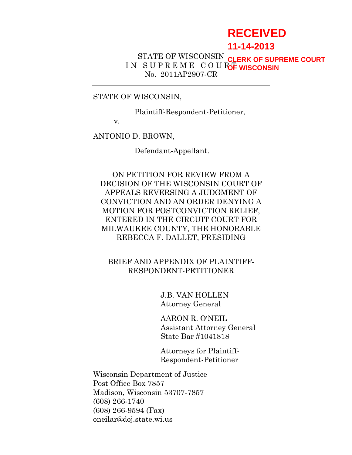# **RECEIVED**

## **11-14-2013**

#### STATE OF WISCONSIN IN SUPREME COURC<sub>F</sub> WISCONSIN No. 2011AP2907-CR **CLERK OF SUPREME COURT**

#### STATE OF WISCONSIN,

Plaintiff-Respondent-Petitioner,

v.

ANTONIO D. BROWN,

Defendant-Appellant.

ON PETITION FOR REVIEW FROM A DECISION OF THE WISCONSIN COURT OF APPEALS REVERSING A JUDGMENT OF CONVICTION AND AN ORDER DENYING A MOTION FOR POSTCONVICTION RELIEF, ENTERED IN THE CIRCUIT COURT FOR MILWAUKEE COUNTY, THE HONORABLE REBECCA F. DALLET, PRESIDING

### BRIEF AND APPENDIX OF PLAINTIFF-RESPONDENT-PETITIONER

J.B. VAN HOLLEN Attorney General

AARON R. O'NEIL Assistant Attorney General State Bar #1041818

Attorneys for Plaintiff-Respondent-Petitioner

Wisconsin Department of Justice Post Office Box 7857 Madison, Wisconsin 53707-7857 (608) 266-1740 (608) 266-9594 (Fax) oneilar@doj.state.wi.us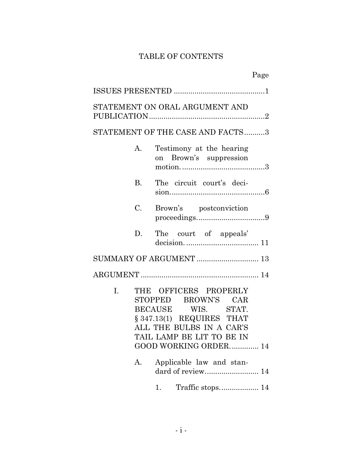# TABLE OF CONTENTS

|                      | Page                                                                                                                                                                                                                                       |
|----------------------|--------------------------------------------------------------------------------------------------------------------------------------------------------------------------------------------------------------------------------------------|
|                      |                                                                                                                                                                                                                                            |
|                      | STATEMENT ON ORAL ARGUMENT AND                                                                                                                                                                                                             |
|                      | STATEMENT OF THE CASE AND FACTS3                                                                                                                                                                                                           |
| А.                   | Testimony at the hearing<br>on Brown's suppression                                                                                                                                                                                         |
| <b>B.</b>            | The circuit court's deci-                                                                                                                                                                                                                  |
| $C_{\cdot}$          | Brown's postconviction                                                                                                                                                                                                                     |
| D.                   | The court of appeals'                                                                                                                                                                                                                      |
|                      |                                                                                                                                                                                                                                            |
|                      |                                                                                                                                                                                                                                            |
| $\mathbf{I}$ .<br>А. | THE OFFICERS PROPERLY<br>STOPPED BROWN'S CAR<br>BECAUSE WIS. STAT.<br>$§ 347.13(1)$ REQUIRES THAT<br>ALL THE BULBS IN A CAR'S<br>TAIL LAMP BE LIT TO BE IN<br>GOOD WORKING ORDER 14<br>Applicable law and stan-<br>dard of review 14<br>1. |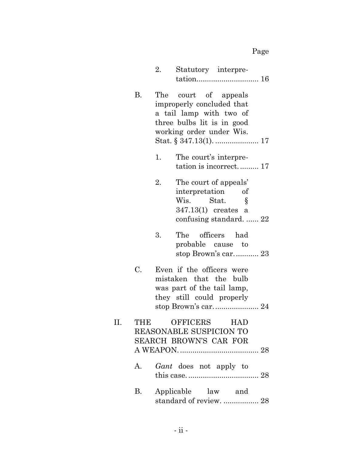|                 | 2.  | Statutory interpre-                                                                                                                |
|-----------------|-----|------------------------------------------------------------------------------------------------------------------------------------|
| <b>B.</b>       | The | court of appeals<br>improperly concluded that<br>a tail lamp with two of<br>three bulbs lit is in good<br>working order under Wis. |
|                 | 1.  | The court's interpre-<br>tation is incorrect 17                                                                                    |
|                 | 2.  | The court of appeals'<br>interpretation of<br>Wis. Stat.<br>Ş<br>347.13(1) creates a<br>confusing standard.  22                    |
|                 | 3.  | The officers had<br>probable cause to<br>stop Brown's car 23                                                                       |
| $\mathcal{C}$ . |     | Even if the officers were<br>mistaken that the bulb<br>was part of the tail lamp,<br>they still could properly                     |
|                 |     | OFFICERS HAD<br><b>REASONABLE SUSPICION TO</b><br><b>SEARCH BROWN'S CAR FOR</b>                                                    |
| A.              |     | Gant does not apply to                                                                                                             |
| В.              |     | Applicable law and<br>standard of review.  28                                                                                      |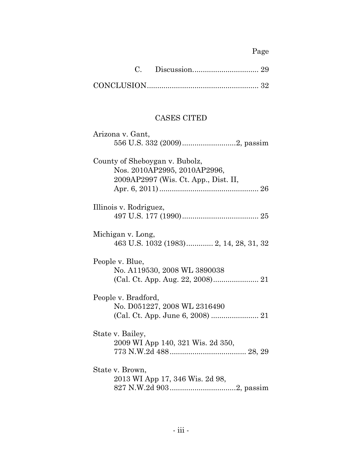# Page

# CASES CITED

| Arizona v. Gant,                       |
|----------------------------------------|
|                                        |
| County of Sheboygan v. Bubolz,         |
| Nos. 2010AP2995, 2010AP2996,           |
| 2009AP2997 (Wis. Ct. App., Dist. II,   |
|                                        |
| Illinois v. Rodriguez,                 |
|                                        |
| Michigan v. Long,                      |
| 463 U.S. 1032 (1983) 2, 14, 28, 31, 32 |
| People v. Blue,                        |
| No. A119530, 2008 WL 3890038           |
|                                        |
| People v. Bradford,                    |
| No. D051227, 2008 WL 2316490           |
|                                        |
| State v. Bailey,                       |
| 2009 WI App 140, 321 Wis. 2d 350,      |
|                                        |
| State v. Brown,                        |
| 2013 WI App 17, 346 Wis. 2d 98,        |
|                                        |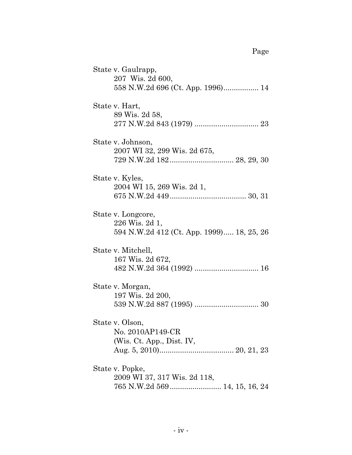State v. Gaulrapp, 207 Wis. 2d 600, 558 N.W.2d 696 (Ct. App. 1996)................. 14 State v. Hart, 89 Wis. 2d 58, 277 N.W.2d 843 (1979) ............................... 23 State v. Johnson, 2007 WI 32, 299 Wis. 2d 675, 729 N.W.2d 182............................... 28, 29, 30 State v. Kyles, 2004 WI 15, 269 Wis. 2d 1, 675 N.W.2d 449..................................... 30, 31 State v. Longcore, 226 Wis. 2d 1, 594 N.W.2d 412 (Ct. App. 1999)..... 18, 25, 26 State v. Mitchell, 167 Wis. 2d 672, 482 N.W.2d 364 (1992) ............................... 16 State v. Morgan, 197 Wis. 2d 200, 539 N.W.2d 887 (1995) ............................... 30 State v. Olson, No. 2010AP149-CR (Wis. Ct. App., Dist. IV, Aug. 5, 2010).................................... 20, 21, 23 State v. Popke, 2009 WI 37, 317 Wis. 2d 118, 765 N.W.2d 569......................... 14, 15, 16, 24

Page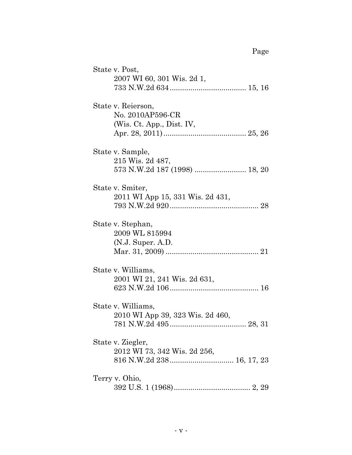| State v. Post,                                           |
|----------------------------------------------------------|
| 2007 WI 60, 301 Wis. 2d 1,                               |
| State v. Reierson,<br>No. 2010AP596-CR                   |
| (Wis. Ct. App., Dist. IV,                                |
| State v. Sample,<br>215 Wis. 2d 487,                     |
| State v. Smiter,<br>2011 WI App 15, 331 Wis. 2d 431,     |
| State v. Stephan,<br>2009 WL 815994<br>(N.J. Super. A.D. |
| State v. Williams,<br>2001 WI 21, 241 Wis. 2d 631,       |
| State v. Williams,<br>2010 WI App 39, 323 Wis. 2d 460,   |
| State v. Ziegler,<br>2012 WI 73, 342 Wis. 2d 256,        |
| Terry v. Ohio,                                           |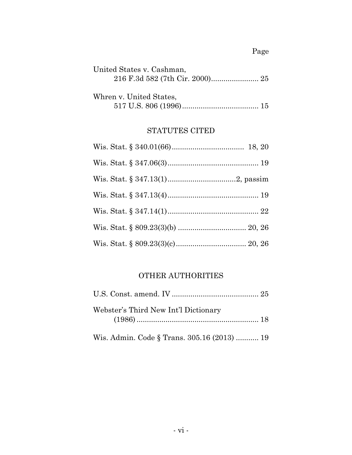| United States v. Cashman, |  |
|---------------------------|--|
|                           |  |
|                           |  |
| Whren v. United States,   |  |

| $1.222$ $0.221$ $0.2220$ $0.2000$ $0.0000$ |  |
|--------------------------------------------|--|
|                                            |  |

# STATUTES CITED

# OTHER AUTHORITIES

| Webster's Third New Int'l Dictionary |  |
|--------------------------------------|--|
|                                      |  |

Wis. Admin. Code § Trans. 305.16 (2013) ........... 19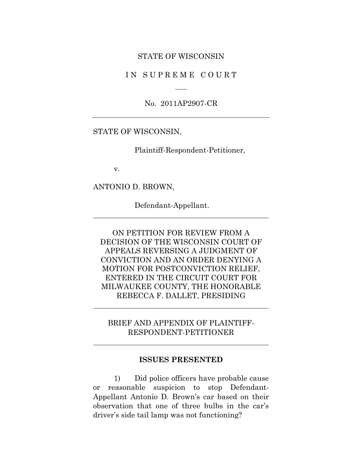#### STATE OF WISCONSIN

#### IN SUPREME COURT

No. 2011AP2907-CR

#### STATE OF WISCONSIN,

Plaintiff-Respondent-Petitioner,

v.

ANTONIO D. BROWN,

Defendant-Appellant.

ON PETITION FOR REVIEW FROM A DECISION OF THE WISCONSIN COURT OF APPEALS REVERSING A JUDGMENT OF CONVICTION AND AN ORDER DENYING A MOTION FOR POSTCONVICTION RELIEF, ENTERED IN THE CIRCUIT COURT FOR MILWAUKEE COUNTY, THE HONORABLE REBECCA F. DALLET, PRESIDING

BRIEF AND APPENDIX OF PLAINTIFF-RESPONDENT-PETITIONER

#### **ISSUES PRESENTED**

1) Did police officers have probable cause or reasonable suspicion to stop Defendant-Appellant Antonio D. Brown's car based on their observation that one of three bulbs in the car's driver's side tail lamp was not functioning?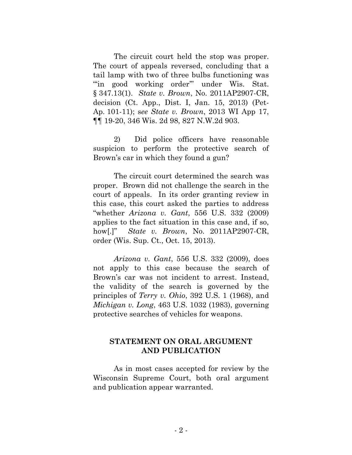The circuit court held the stop was proper. The court of appeals reversed, concluding that a tail lamp with two of three bulbs functioning was "in good working order" under Wis. Stat. § 347.13(1). *State v. Brown*, No. 2011AP2907-CR, decision (Ct. App., Dist. I, Jan. 15, 2013) (Pet-Ap. 101-11); s*ee State v. Brown*, 2013 WI App 17, ¶¶ 19-20, 346 Wis. 2d 98, 827 N.W.2d 903.

2) Did police officers have reasonable suspicion to perform the protective search of Brown's car in which they found a gun?

The circuit court determined the search was proper. Brown did not challenge the search in the court of appeals. In its order granting review in this case, this court asked the parties to address "whether *Arizona v. Gant*, 556 U.S. 332 (2009) applies to the fact situation in this case and, if so, how[.]" *State v. Brown*, No. 2011AP2907-CR, order (Wis. Sup. Ct., Oct. 15, 2013).

*Arizona v. Gant*, 556 U.S. 332 (2009), does not apply to this case because the search of Brown's car was not incident to arrest. Instead, the validity of the search is governed by the principles of *Terry v. Ohio*, 392 U.S. 1 (1968), and *Michigan v. Long*, 463 U.S. 1032 (1983), governing protective searches of vehicles for weapons.

## **STATEMENT ON ORAL ARGUMENT AND PUBLICATION**

As in most cases accepted for review by the Wisconsin Supreme Court, both oral argument and publication appear warranted.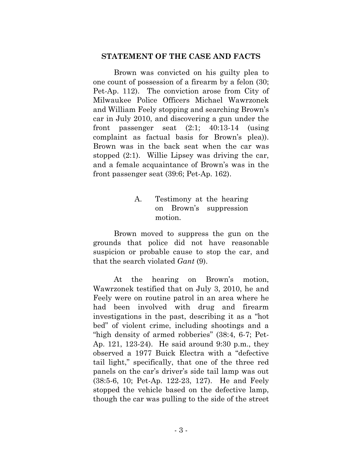#### **STATEMENT OF THE CASE AND FACTS**

Brown was convicted on his guilty plea to one count of possession of a firearm by a felon (30; Pet-Ap. 112). The conviction arose from City of Milwaukee Police Officers Michael Wawrzonek and William Feely stopping and searching Brown's car in July 2010, and discovering a gun under the front passenger seat (2:1; 40:13-14 (using complaint as factual basis for Brown's plea)). Brown was in the back seat when the car was stopped (2:1). Willie Lipsey was driving the car, and a female acquaintance of Brown's was in the front passenger seat (39:6; Pet-Ap. 162).

# A. Testimony at the hearing on Brown's suppression motion.

Brown moved to suppress the gun on the grounds that police did not have reasonable suspicion or probable cause to stop the car, and that the search violated *Gant* (9).

At the hearing on Brown's motion, Wawrzonek testified that on July 3, 2010, he and Feely were on routine patrol in an area where he had been involved with drug and firearm investigations in the past, describing it as a "hot bed" of violent crime, including shootings and a "high density of armed robberies" (38:4, 6-7; Pet-Ap. 121, 123-24). He said around 9:30 p.m., they observed a 1977 Buick Electra with a "defective tail light," specifically, that one of the three red panels on the car's driver's side tail lamp was out (38:5-6, 10; Pet-Ap. 122-23, 127). He and Feely stopped the vehicle based on the defective lamp, though the car was pulling to the side of the street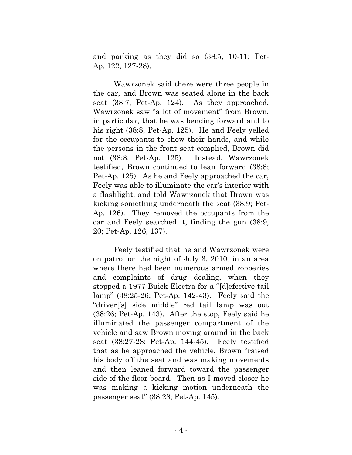and parking as they did so (38:5, 10-11; Pet-Ap. 122, 127-28).

Wawrzonek said there were three people in the car, and Brown was seated alone in the back seat (38:7; Pet-Ap. 124). As they approached, Wawrzonek saw "a lot of movement" from Brown, in particular, that he was bending forward and to his right (38:8; Pet-Ap. 125). He and Feely yelled for the occupants to show their hands, and while the persons in the front seat complied, Brown did not (38:8; Pet-Ap. 125). Instead, Wawrzonek testified, Brown continued to lean forward (38:8; Pet-Ap. 125). As he and Feely approached the car, Feely was able to illuminate the car's interior with a flashlight, and told Wawrzonek that Brown was kicking something underneath the seat (38:9; Pet-Ap. 126). They removed the occupants from the car and Feely searched it, finding the gun (38:9, 20; Pet-Ap. 126, 137).

Feely testified that he and Wawrzonek were on patrol on the night of July 3, 2010, in an area where there had been numerous armed robberies and complaints of drug dealing, when they stopped a 1977 Buick Electra for a "[d]efective tail lamp" (38:25-26; Pet-Ap. 142-43). Feely said the "driver['s] side middle" red tail lamp was out (38:26; Pet-Ap. 143). After the stop, Feely said he illuminated the passenger compartment of the vehicle and saw Brown moving around in the back seat (38:27-28; Pet-Ap. 144-45). Feely testified that as he approached the vehicle, Brown "raised his body off the seat and was making movements and then leaned forward toward the passenger side of the floor board. Then as I moved closer he was making a kicking motion underneath the passenger seat" (38:28; Pet-Ap. 145).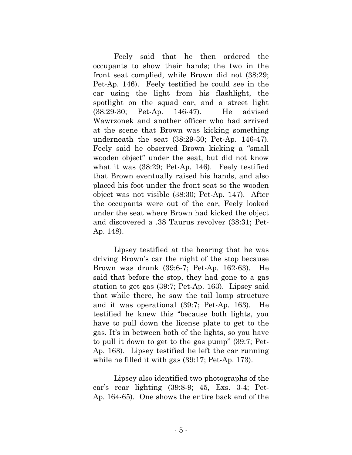Feely said that he then ordered the occupants to show their hands; the two in the front seat complied, while Brown did not (38:29; Pet-Ap. 146). Feely testified he could see in the car using the light from his flashlight, the spotlight on the squad car, and a street light (38:29-30; Pet-Ap. 146-47). He advised Wawrzonek and another officer who had arrived at the scene that Brown was kicking something underneath the seat (38:29-30; Pet-Ap. 146-47). Feely said he observed Brown kicking a "small wooden object" under the seat, but did not know what it was (38:29; Pet-Ap. 146). Feely testified that Brown eventually raised his hands, and also placed his foot under the front seat so the wooden object was not visible (38:30; Pet-Ap. 147). After the occupants were out of the car, Feely looked under the seat where Brown had kicked the object and discovered a .38 Taurus revolver (38:31; Pet-Ap. 148).

Lipsey testified at the hearing that he was driving Brown's car the night of the stop because Brown was drunk (39:6-7; Pet-Ap. 162-63). He said that before the stop, they had gone to a gas station to get gas (39:7; Pet-Ap. 163). Lipsey said that while there, he saw the tail lamp structure and it was operational (39:7; Pet-Ap. 163). He testified he knew this "because both lights, you have to pull down the license plate to get to the gas. It's in between both of the lights, so you have to pull it down to get to the gas pump" (39:7; Pet-Ap. 163). Lipsey testified he left the car running while he filled it with gas (39:17; Pet-Ap. 173).

Lipsey also identified two photographs of the car's rear lighting (39:8-9; 45, Exs. 3-4; Pet-Ap. 164-65). One shows the entire back end of the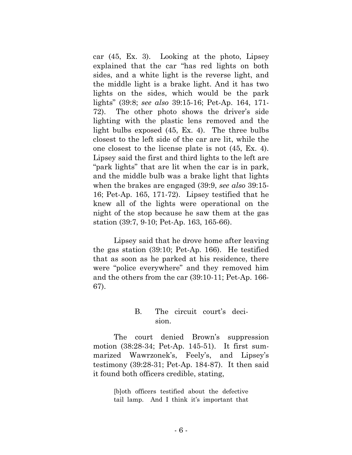car (45, Ex. 3). Looking at the photo, Lipsey explained that the car "has red lights on both sides, and a white light is the reverse light, and the middle light is a brake light. And it has two lights on the sides, which would be the park lights" (39:8; *see also* 39:15-16; Pet-Ap. 164, 171- 72). The other photo shows the driver's side lighting with the plastic lens removed and the light bulbs exposed (45, Ex. 4). The three bulbs closest to the left side of the car are lit, while the one closest to the license plate is not (45, Ex. 4). Lipsey said the first and third lights to the left are "park lights" that are lit when the car is in park, and the middle bulb was a brake light that lights when the brakes are engaged (39:9, *see also* 39:15- 16; Pet-Ap. 165, 171-72). Lipsey testified that he knew all of the lights were operational on the night of the stop because he saw them at the gas station (39:7, 9-10; Pet-Ap. 163, 165-66).

Lipsey said that he drove home after leaving the gas station (39:10; Pet-Ap. 166). He testified that as soon as he parked at his residence, there were "police everywhere" and they removed him and the others from the car (39:10-11; Pet-Ap. 166- 67).

### B. The circuit court's decision.

The court denied Brown's suppression motion (38:28-34; Pet-Ap. 145-51). It first summarized Wawrzonek's, Feely's, and Lipsey's testimony (39:28-31; Pet-Ap. 184-87). It then said it found both officers credible, stating,

> [b]oth officers testified about the defective tail lamp. And I think it's important that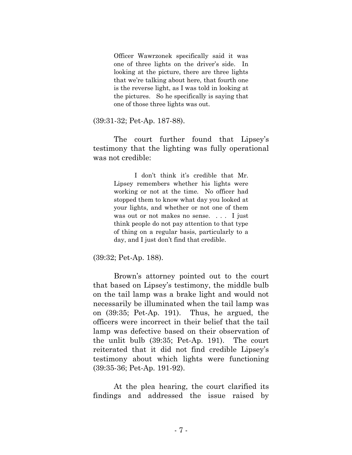Officer Wawrzonek specifically said it was one of three lights on the driver's side. In looking at the picture, there are three lights that we're talking about here, that fourth one is the reverse light, as I was told in looking at the pictures. So he specifically is saying that one of those three lights was out.

(39:31-32; Pet-Ap. 187-88).

The court further found that Lipsey's testimony that the lighting was fully operational was not credible:

> I don't think it's credible that Mr. Lipsey remembers whether his lights were working or not at the time. No officer had stopped them to know what day you looked at your lights, and whether or not one of them was out or not makes no sense. ... I just think people do not pay attention to that type of thing on a regular basis, particularly to a day, and I just don't find that credible.

(39:32; Pet-Ap. 188).

Brown's attorney pointed out to the court that based on Lipsey's testimony, the middle bulb on the tail lamp was a brake light and would not necessarily be illuminated when the tail lamp was on (39:35; Pet-Ap. 191). Thus, he argued, the officers were incorrect in their belief that the tail lamp was defective based on their observation of the unlit bulb (39:35; Pet-Ap. 191). The court reiterated that it did not find credible Lipsey's testimony about which lights were functioning (39:35-36; Pet-Ap. 191-92).

At the plea hearing, the court clarified its findings and addressed the issue raised by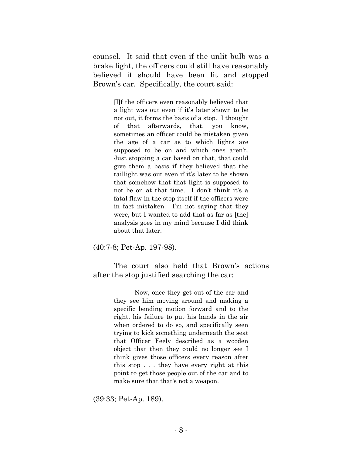counsel. It said that even if the unlit bulb was a brake light, the officers could still have reasonably believed it should have been lit and stopped Brown's car. Specifically, the court said:

> [I]f the officers even reasonably believed that a light was out even if it's later shown to be not out, it forms the basis of a stop. I thought of that afterwards, that, you know, sometimes an officer could be mistaken given the age of a car as to which lights are supposed to be on and which ones aren't. Just stopping a car based on that, that could give them a basis if they believed that the taillight was out even if it's later to be shown that somehow that that light is supposed to not be on at that time. I don't think it's a fatal flaw in the stop itself if the officers were in fact mistaken. I'm not saying that they were, but I wanted to add that as far as [the] analysis goes in my mind because I did think about that later.

(40:7-8; Pet-Ap. 197-98).

The court also held that Brown's actions after the stop justified searching the car:

> Now, once they get out of the car and they see him moving around and making a specific bending motion forward and to the right, his failure to put his hands in the air when ordered to do so, and specifically seen trying to kick something underneath the seat that Officer Feely described as a wooden object that then they could no longer see I think gives those officers every reason after this stop . . . they have every right at this point to get those people out of the car and to make sure that that's not a weapon.

(39:33; Pet-Ap. 189).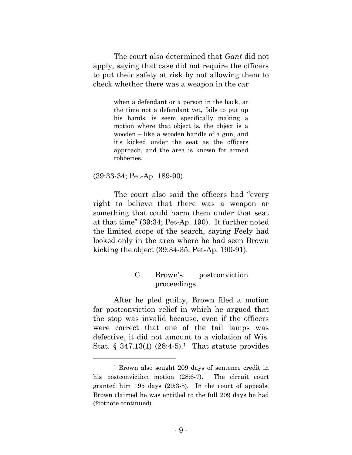The court also determined that *Gant* did not apply, saying that case did not require the officers to put their safety at risk by not allowing them to check whether there was a weapon in the car

> when a defendant or a person in the back, at the time not a defendant yet, fails to put up his hands, is seem specifically making a motion where that object is, the object is a wooden – like a wooden handle of a gun, and it's kicked under the seat as the officers approach, and the area is known for armed robberies.

#### (39:33-34; Pet-Ap. 189-90).

The court also said the officers had "every right to believe that there was a weapon or something that could harm them under that seat at that time" (39:34; Pet-Ap. 190). It further noted the limited scope of the search, saying Feely had looked only in the area where he had seen Brown kicking the object (39:34-35; Pet-Ap. 190-91).

## C. Brown's postconviction proceedings.

After he pled guilty, Brown filed a motion for postconviction relief in which he argued that the stop was invalid because, even if the officers were correct that one of the tail lamps was defective, it did not amount to a violation of Wis. Stat. § 347.13(1)  $(28.4-5).$ <sup>1</sup> That statute provides

<sup>1</sup> Brown also sought 209 days of sentence credit in his postconviction motion  $(28:6-7)$ . The circuit court granted him 195 days (29:3-5). In the court of appeals, Brown claimed he was entitled to the full 209 days he had (footnote continued)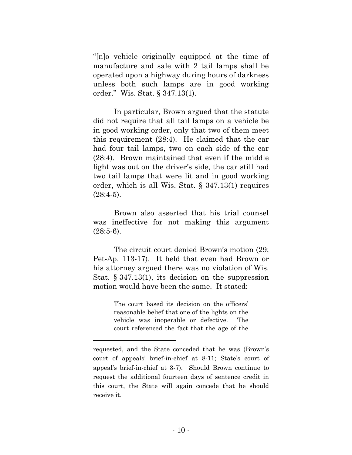"[n]o vehicle originally equipped at the time of manufacture and sale with 2 tail lamps shall be operated upon a highway during hours of darkness unless both such lamps are in good working order." Wis. Stat. § 347.13(1).

In particular, Brown argued that the statute did not require that all tail lamps on a vehicle be in good working order, only that two of them meet this requirement (28:4). He claimed that the car had four tail lamps, two on each side of the car (28:4). Brown maintained that even if the middle light was out on the driver's side, the car still had two tail lamps that were lit and in good working order, which is all Wis. Stat. § 347.13(1) requires  $(28:4-5)$ .

Brown also asserted that his trial counsel was ineffective for not making this argument  $(28:5-6)$ .

The circuit court denied Brown's motion (29; Pet-Ap. 113-17). It held that even had Brown or his attorney argued there was no violation of Wis. Stat. § 347.13(1), its decision on the suppression motion would have been the same. It stated:

> The court based its decision on the officers' reasonable belief that one of the lights on the vehicle was inoperable or defective. The court referenced the fact that the age of the

requested, and the State conceded that he was (Brown's court of appeals' brief-in-chief at 8-11; State's court of appeal's brief-in-chief at 3-7). Should Brown continue to request the additional fourteen days of sentence credit in this court, the State will again concede that he should receive it.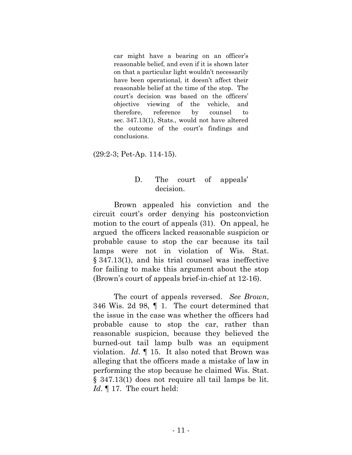car might have a bearing on an officer's reasonable belief, and even if it is shown later on that a particular light wouldn't necessarily have been operational, it doesn't affect their reasonable belief at the time of the stop. The court's decision was based on the officers' objective viewing of the vehicle, and therefore, reference by counsel to sec. 347.13(1), Stats., would not have altered the outcome of the court's findings and conclusions.

(29:2-3; Pet-Ap. 114-15).

## D. The court of appeals' decision.

Brown appealed his conviction and the circuit court's order denying his postconviction motion to the court of appeals (31). On appeal, he argued the officers lacked reasonable suspicion or probable cause to stop the car because its tail lamps were not in violation of Wis. Stat. § 347.13(1), and his trial counsel was ineffective for failing to make this argument about the stop (Brown's court of appeals brief-in-chief at 12-16).

The court of appeals reversed. *See Brown*, 346 Wis. 2d 98, ¶ 1. The court determined that the issue in the case was whether the officers had probable cause to stop the car, rather than reasonable suspicion, because they believed the burned-out tail lamp bulb was an equipment violation. *Id*. ¶ 15. It also noted that Brown was alleging that the officers made a mistake of law in performing the stop because he claimed Wis. Stat. § 347.13(1) does not require all tail lamps be lit. *Id*. ¶ 17. The court held: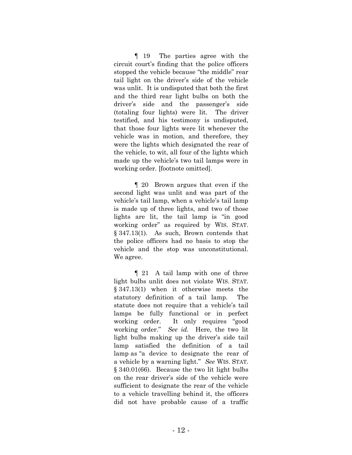¶ 19 The parties agree with the circuit court's finding that the police officers stopped the vehicle because "the middle" rear tail light on the driver's side of the vehicle was unlit. It is undisputed that both the first and the third rear light bulbs on both the driver's side and the passenger's side (totaling four lights) were lit. The driver testified, and his testimony is undisputed, that those four lights were lit whenever the vehicle was in motion, and therefore, they were the lights which designated the rear of the vehicle, to wit, all four of the lights which made up the vehicle's two tail lamps were in working order. [footnote omitted].

¶ 20 Brown argues that even if the second light was unlit and was part of the vehicle's tail lamp, when a vehicle's tail lamp is made up of three lights, and two of those lights are lit, the tail lamp is "in good working order" as required by WIS. STAT. § 347.13(1). As such, Brown contends that the police officers had no basis to stop the vehicle and the stop was unconstitutional. We agree.

¶ 21 A tail lamp with one of three light bulbs unlit does not violate WIS. STAT. § 347.13(1) when it otherwise meets the statutory definition of a tail lamp. The statute does not require that a vehicle's tail lamps be fully functional or in perfect working order. It only requires "good working order." *See id.* Here, the two lit light bulbs making up the driver's side tail lamp satisfied the definition of a tail lamp as "a device to designate the rear of a vehicle by a warning light." *See* WIS. STAT. § 340.01(66). Because the two lit light bulbs on the rear driver's side of the vehicle were sufficient to designate the rear of the vehicle to a vehicle travelling behind it, the officers did not have probable cause of a traffic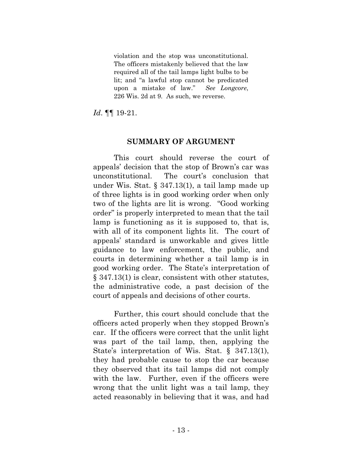violation and the stop was unconstitutional. The officers mistakenly believed that the law required all of the tail lamps light bulbs to be lit; and "a lawful stop cannot be predicated upon a mistake of law." *See Longcore*, 226 Wis. 2d at 9. As such, we reverse.

*Id*. ¶¶ 19-21.

#### **SUMMARY OF ARGUMENT**

This court should reverse the court of appeals' decision that the stop of Brown's car was unconstitutional. The court's conclusion that under Wis. Stat. § 347.13(1), a tail lamp made up of three lights is in good working order when only two of the lights are lit is wrong. "Good working order" is properly interpreted to mean that the tail lamp is functioning as it is supposed to, that is, with all of its component lights lit. The court of appeals' standard is unworkable and gives little guidance to law enforcement, the public, and courts in determining whether a tail lamp is in good working order. The State's interpretation of § 347.13(1) is clear, consistent with other statutes, the administrative code, a past decision of the court of appeals and decisions of other courts.

Further, this court should conclude that the officers acted properly when they stopped Brown's car. If the officers were correct that the unlit light was part of the tail lamp, then, applying the State's interpretation of Wis. Stat. § 347.13(1), they had probable cause to stop the car because they observed that its tail lamps did not comply with the law. Further, even if the officers were wrong that the unlit light was a tail lamp, they acted reasonably in believing that it was, and had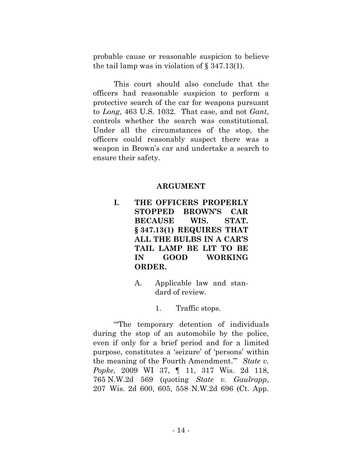probable cause or reasonable suspicion to believe the tail lamp was in violation of § 347.13(1).

This court should also conclude that the officers had reasonable suspicion to perform a protective search of the car for weapons pursuant to *Long*, 463 U.S. 1032. That case, and not *Gant*, controls whether the search was constitutional. Under all the circumstances of the stop, the officers could reasonably suspect there was a weapon in Brown's car and undertake a search to ensure their safety.

## **ARGUMENT**

- **I. THE OFFICERS PROPERLY STOPPED BROWN'S CAR BECAUSE WIS. STAT. § 347.13(1) REQUIRES THAT ALL THE BULBS IN A CAR'S TAIL LAMP BE LIT TO BE IN GOOD WORKING ORDER.**
	- A. Applicable law and standard of review.

#### 1. Traffic stops.

"'The temporary detention of individuals during the stop of an automobile by the police, even if only for a brief period and for a limited purpose, constitutes a 'seizure' of 'persons' within the meaning of the Fourth Amendment.'" *State v. Popke*, 2009 WI 37, ¶ 11, 317 Wis. 2d 118, 765 N.W.2d 569 (quoting *[State v. Gaulrapp](http://scholar.google.com/scholar_case?case=11231144994765582441&hl=en&as_sdt=6,50&as_vis=1)*, 207 [Wis. 2d 600, 605, 558 N.W.2d 696 \(Ct. App.](http://scholar.google.com/scholar_case?case=11231144994765582441&hl=en&as_sdt=6,50&as_vis=1)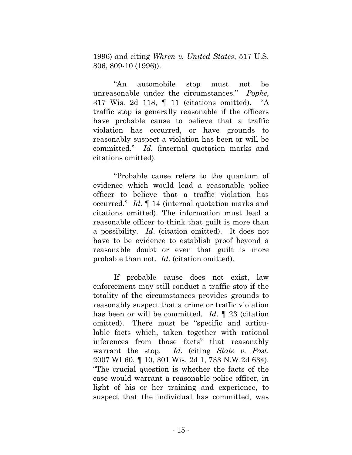1996) and citing *[Whren v. United States](http://scholar.google.com/scholar_case?case=3416424011044753637&hl=en&as_sdt=6,50&as_vis=1)*, 517 U.S. [806, 809-10 \(1996\)\)](http://scholar.google.com/scholar_case?case=3416424011044753637&hl=en&as_sdt=6,50&as_vis=1).

"An automobile stop must not be unreasonable under the circumstances." *Popke*, 317 Wis. 2d 118, ¶ 11 (citations omitted). "A traffic stop is generally reasonable if the officers have probable cause to believe that a traffic violation has occurred, or have grounds to reasonably suspect a violation has been or will be committed." *Id.* (internal quotation marks and citations omitted).

"Probable cause refers to the quantum of evidence which would lead a reasonable police officer to believe that a traffic violation has occurred." *Id*. ¶ 14 (internal quotation marks and citations omitted). The information must lead a reasonable officer to think that guilt is more than a possibility. *Id*. (citation omitted). It does not have to be evidence to establish proof beyond a reasonable doubt or even that guilt is more probable than not. *Id*. (citation omitted).

If probable cause does not exist, law enforcement may still conduct a traffic stop if the totality of the circumstances provides grounds to reasonably suspect that a crime or traffic violation has been or will be committed. *Id*. ¶ 23 (citation omitted). There must be "specific and articulable facts which, taken together with rational inferences from those facts" that reasonably warrant the stop. *Id*. (citing *State v. Post*, 2007 WI 60, ¶ 10, 301 Wis. 2d 1, 733 N.W.2d 634). "The crucial question is whether the facts of the case would warrant a reasonable police officer, in light of his or her training and experience, to suspect that the individual has committed, was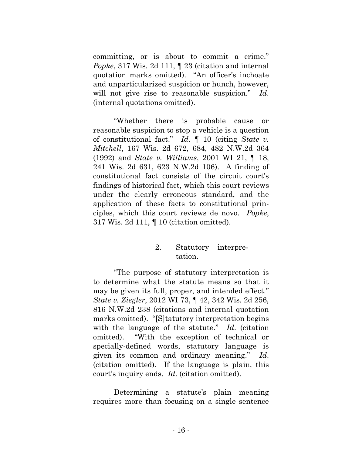committing, or is about to commit a crime." *Popke*, 317 Wis. 2d 111, ¶ 23 (citation and internal quotation marks omitted). "An officer's inchoate and unparticularized suspicion or hunch, however, will not give rise to reasonable suspicion." *Id*. (internal quotations omitted).

"Whether there is probable cause or reasonable suspicion to stop a vehicle is a question of constitutional fact." *Id*. ¶ 10 (citing *[State v.](http://scholar.google.com/scholar_case?case=8863976674326715783&q=state+v.+popke&hl=en&as_sdt=6,50&as_vis=1)  Mitchell*[, 167 Wis. 2d 672, 684, 482 N.W.2d 364](http://scholar.google.com/scholar_case?case=8863976674326715783&q=state+v.+popke&hl=en&as_sdt=6,50&as_vis=1)  [\(1992\)](http://scholar.google.com/scholar_case?case=8863976674326715783&q=state+v.+popke&hl=en&as_sdt=6,50&as_vis=1) and *[State v. Williams](http://scholar.google.com/scholar_case?case=15022257552129626335&q=state+v.+popke&hl=en&as_sdt=6,50&as_vis=1)*, 2001 WI 21, ¶ 18, [241 Wis. 2d 631, 623 N.W.2d 106\)](http://scholar.google.com/scholar_case?case=15022257552129626335&q=state+v.+popke&hl=en&as_sdt=6,50&as_vis=1). A finding of constitutional fact consists of the circuit court's findings of historical fact, which this court reviews under the clearly erroneous standard, and the application of these facts to constitutional principles, which this court reviews de novo. *Popke*, 317 Wis. 2d 111, ¶ 10 (citation omitted).

## 2. Statutory interpretation.

"The purpose of statutory interpretation is to determine what the statute means so that it may be given its full, proper, and intended effect." *State v. Ziegler*, 2012 WI 73, ¶ 42, 342 Wis. 2d 256, 816 N.W.2d 238 (citations and internal quotation marks omitted). "[S]tatutory interpretation begins with the language of the statute." *Id*. (citation omitted). "With the exception of technical or specially-defined words, statutory language is given its common and ordinary meaning." *Id*. (citation omitted). If the language is plain, this court's inquiry ends. *Id*. (citation omitted).

Determining a statute's plain meaning requires more than focusing on a single sentence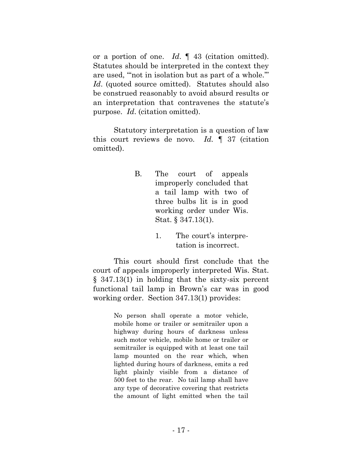or a portion of one. *Id*. ¶ 43 (citation omitted). Statutes should be interpreted in the context they are used, "'not in isolation but as part of a whole.'" Id. (quoted source omitted). Statutes should also be construed reasonably to avoid absurd results or an interpretation that contravenes the statute's purpose. *Id*. (citation omitted).

Statutory interpretation is a question of law this court reviews de novo. *Id. ¶* 37 (citation omitted).

- B. The court of appeals improperly concluded that a tail lamp with two of three bulbs lit is in good working order under Wis. Stat. § 347.13(1).
	- 1. The court's interpretation is incorrect.

This court should first conclude that the court of appeals improperly interpreted Wis. Stat. § 347.13(1) in holding that the sixty-six percent functional tail lamp in Brown's car was in good working order. Section 347.13(1) provides:

> No person shall operate a motor vehicle, mobile home or trailer or semitrailer upon a highway during hours of darkness unless such motor vehicle, mobile home or trailer or semitrailer is equipped with at least one tail lamp mounted on the rear which, when lighted during hours of darkness, emits a red light plainly visible from a distance of 500 feet to the rear. No tail lamp shall have any type of decorative covering that restricts the amount of light emitted when the tail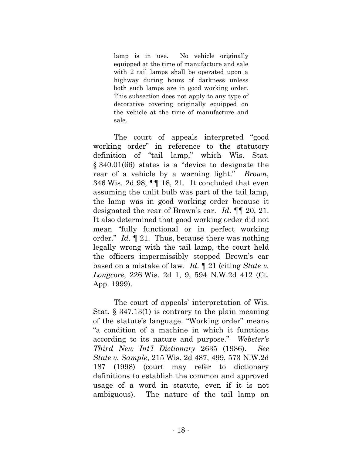lamp is in use. No vehicle originally equipped at the time of manufacture and sale with 2 tail lamps shall be operated upon a highway during hours of darkness unless both such lamps are in good working order. This subsection does not apply to any type of decorative covering originally equipped on the vehicle at the time of manufacture and sale.

The court of appeals interpreted "good working order" in reference to the statutory definition of "tail lamp," which Wis. Stat. § 340.01(66) states is a "device to designate the rear of a vehicle by a warning light." *Brown*, 346 Wis. 2d 98, ¶¶ 18, 21. It concluded that even assuming the unlit bulb was part of the tail lamp, the lamp was in good working order because it designated the rear of Brown's car. *Id*. ¶¶ 20, 21. It also determined that good working order did not mean "fully functional or in perfect working order." *Id*. ¶ 21. Thus, because there was nothing legally wrong with the tail lamp, the court held the officers impermissibly stopped Brown's car based on a mistake of law. *Id*. ¶ 21 (citing *State v. Longcore*, 226 Wis. 2d 1, 9, 594 N.W.2d 412 (Ct. App. 1999).

The court of appeals' interpretation of Wis. Stat. § 347.13(1) is contrary to the plain meaning of the statute's language. "Working order" means "a condition of a machine in which it functions according to its nature and purpose." *Webster's Third New Int'l Dictionary* 2635 (1986). *See State v. Sample*, 215 Wis. 2d 487, 499, 573 N.W.2d 187 (1998) (court may refer to dictionary definitions to establish the common and approved usage of a word in statute, even if it is not ambiguous). The nature of the tail lamp on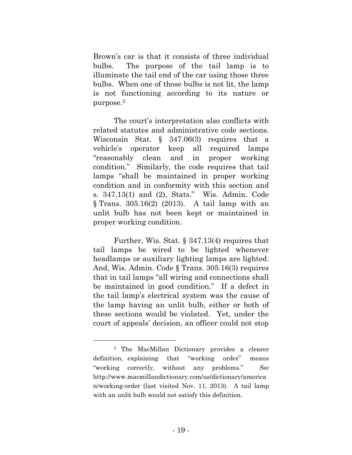Brown's car is that it consists of three individual bulbs. The purpose of the tail lamp is to illuminate the tail end of the car using those three bulbs. When one of those bulbs is not lit, the lamp is not functioning according to its nature or purpose.<sup>2</sup>

The court's interpretation also conflicts with related statutes and administrative code sections. Wisconsin Stat. § 347.06(3) requires that a vehicle's operator keep all required lamps "reasonably clean and in proper working condition." Similarly, the code requires that tail lamps "shall be maintained in proper working condition and in conformity with this section and s. 347.13(1) and (2), Stats." Wis. Admin. Code § Trans. 305.16(2) (2013). A tail lamp with an unlit bulb has not been kept or maintained in proper working condition.

Further, Wis. Stat. § 347.13(4) requires that tail lamps be wired to be lighted whenever headlamps or auxiliary lighting lamps are lighted. And, Wis. Admin. Code § Trans. 305.16(3) requires that in tail lamps "all wiring and connections shall be maintained in good condition." If a defect in the tail lamp's electrical system was the cause of the lamp having an unlit bulb, either or both of these sections would be violated. Yet, under the court of appeals' decision, an officer could not stop

<sup>2</sup> The MacMillan Dictionary provides a clearer definition, explaining that "working order" means "working correctly, without any problems." *See*  [http://www.macmillandictionary.com/us/dictionary/america](http://www.macmillandictionary.com/us/dictionary/american/working-order) [n/working-order](http://www.macmillandictionary.com/us/dictionary/american/working-order) (last visited Nov. 11, 2013). A tail lamp with an unlit bulb would not satisfy this definition.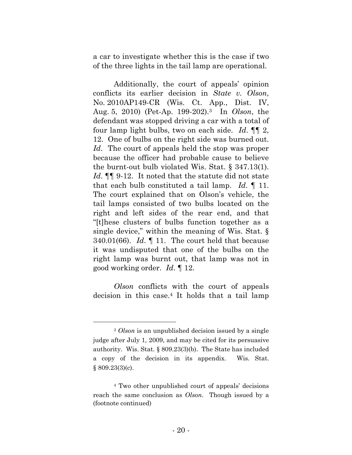a car to investigate whether this is the case if two of the three lights in the tail lamp are operational.

Additionally, the court of appeals' opinion conflicts its earlier decision in *State v. Olson*, No. 2010AP149-CR (Wis. Ct. App., Dist. IV, Aug. 5, 2010) (Pet-Ap. 199-202). <sup>3</sup> In *Olson*, the defendant was stopped driving a car with a total of four lamp light bulbs, two on each side. *Id*. ¶¶ 2, 12. One of bulbs on the right side was burned out. *Id*. The court of appeals held the stop was proper because the officer had probable cause to believe the burnt-out bulb violated Wis. Stat. § 347.13(1). *Id*. **[1]** 9-12. It noted that the statute did not state that each bulb constituted a tail lamp. *Id*. ¶ 11. The court explained that on Olson's vehicle, the tail lamps consisted of two bulbs located on the right and left sides of the rear end, and that "[t]hese clusters of bulbs function together as a single device," within the meaning of Wis. Stat. § 340.01(66). *Id*. ¶ 11. The court held that because it was undisputed that one of the bulbs on the right lamp was burnt out, that lamp was not in good working order. *Id*. ¶ 12.

*Olson* conflicts with the court of appeals decision in this case.<sup>4</sup> It holds that a tail lamp

<sup>3</sup> *Olson* is an unpublished decision issued by a single judge after July 1, 2009, and may be cited for its persuasive authority. Wis. Stat. § 809.23(3)(b). The State has included a copy of the decision in its appendix. Wis. Stat. § 809.23(3)(c).

<sup>4</sup> Two other unpublished court of appeals' decisions reach the same conclusion as *Olson*. Though issued by a (footnote continued)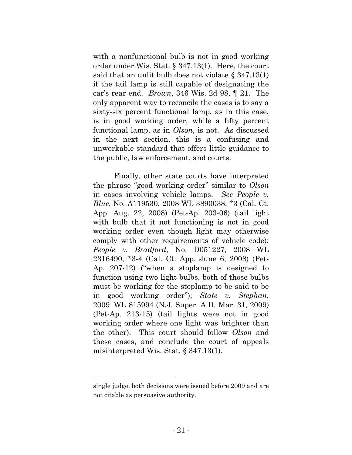with a nonfunctional bulb is not in good working order under Wis. Stat. § 347.13(1). Here, the court said that an unlit bulb does not violate § 347.13(1) if the tail lamp is still capable of designating the car's rear end. *Brown*, 346 Wis. 2d 98, ¶ 21. The only apparent way to reconcile the cases is to say a sixty-six percent functional lamp, as in this case, is in good working order, while a fifty percent functional lamp, as in *Olson*, is not. As discussed in the next section, this is a confusing and unworkable standard that offers little guidance to the public, law enforcement, and courts.

Finally, other state courts have interpreted the phrase "good working order" similar to *Olson* in cases involving vehicle lamps. *See People v. Blue*, No. A119530, 2008 WL 3890038, \*3 (Cal. Ct. App. Aug. 22, 2008) (Pet-Ap. 203-06) (tail light with bulb that it not functioning is not in good working order even though light may otherwise comply with other requirements of vehicle code); *People v. Bradford*, No. D051227, 2008 WL 2316490, \*3-4 (Cal. Ct. App. June 6, 2008) (Pet-Ap. 207-12) ("when a stoplamp is designed to function using two light bulbs, both of those bulbs must be working for the stoplamp to be said to be in good working order"); *State v. Stephan*, 2009 WL 815994 (N.J. Super. A.D. Mar. 31, 2009) (Pet-Ap. 213-15) (tail lights were not in good working order where one light was brighter than the other). This court should follow *Olson* and these cases, and conclude the court of appeals misinterpreted Wis. Stat. § 347.13(1).

single judge, both decisions were issued before 2009 and are not citable as persuasive authority.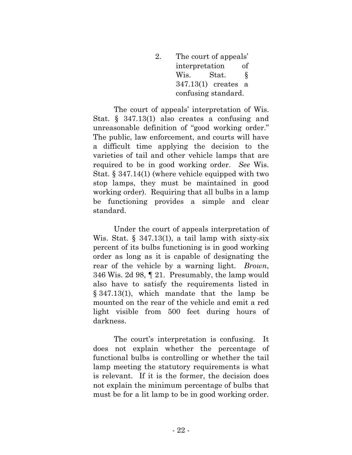2. The court of appeals' interpretation of Wis. Stat. § 347.13(1) creates a confusing standard.

The court of appeals' interpretation of Wis. Stat. § 347.13(1) also creates a confusing and unreasonable definition of "good working order." The public, law enforcement, and courts will have a difficult time applying the decision to the varieties of tail and other vehicle lamps that are required to be in good working order. *See* Wis. Stat. § 347.14(1) (where vehicle equipped with two stop lamps, they must be maintained in good working order). Requiring that all bulbs in a lamp be functioning provides a simple and clear standard.

Under the court of appeals interpretation of Wis. Stat.  $\S$  347.13(1), a tail lamp with sixty-six percent of its bulbs functioning is in good working order as long as it is capable of designating the rear of the vehicle by a warning light. *Brown*, 346 Wis. 2d 98, ¶ 21. Presumably, the lamp would also have to satisfy the requirements listed in § 347.13(1), which mandate that the lamp be mounted on the rear of the vehicle and emit a red light visible from 500 feet during hours of darkness.

The court's interpretation is confusing. It does not explain whether the percentage of functional bulbs is controlling or whether the tail lamp meeting the statutory requirements is what is relevant. If it is the former, the decision does not explain the minimum percentage of bulbs that must be for a lit lamp to be in good working order.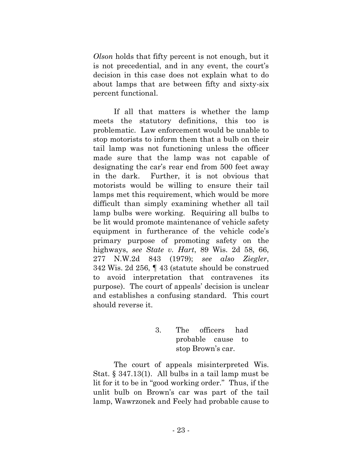*Olson* holds that fifty percent is not enough, but it is not precedential, and in any event, the court's decision in this case does not explain what to do about lamps that are between fifty and sixty-six percent functional.

If all that matters is whether the lamp meets the statutory definitions, this too is problematic. Law enforcement would be unable to stop motorists to inform them that a bulb on their tail lamp was not functioning unless the officer made sure that the lamp was not capable of designating the car's rear end from 500 feet away in the dark. Further, it is not obvious that motorists would be willing to ensure their tail lamps met this requirement, which would be more difficult than simply examining whether all tail lamp bulbs were working. Requiring all bulbs to be lit would promote maintenance of vehicle safety equipment in furtherance of the vehicle code's primary purpose of promoting safety on the highways, *see State v. Hart*, 89 Wis. 2d 58, 66, 277 N.W.2d 843 (1979); *see also Ziegler*, 342 Wis. 2d 256, ¶ 43 (statute should be construed to avoid interpretation that contravenes its purpose). The court of appeals' decision is unclear and establishes a confusing standard. This court should reverse it.

> 3. The officers had probable cause to stop Brown's car.

The court of appeals misinterpreted Wis. Stat. § 347.13(1). All bulbs in a tail lamp must be lit for it to be in "good working order." Thus, if the unlit bulb on Brown's car was part of the tail lamp, Wawrzonek and Feely had probable cause to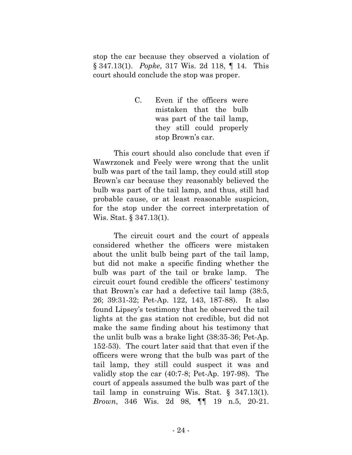stop the car because they observed a violation of § 347.13(1). *Popke*, 317 Wis. 2d 118, ¶ 14. This court should conclude the stop was proper.

> C. Even if the officers were mistaken that the bulb was part of the tail lamp, they still could properly stop Brown's car.

This court should also conclude that even if Wawrzonek and Feely were wrong that the unlit bulb was part of the tail lamp, they could still stop Brown's car because they reasonably believed the bulb was part of the tail lamp, and thus, still had probable cause, or at least reasonable suspicion, for the stop under the correct interpretation of Wis. Stat. § 347.13(1).

The circuit court and the court of appeals considered whether the officers were mistaken about the unlit bulb being part of the tail lamp, but did not make a specific finding whether the bulb was part of the tail or brake lamp. The circuit court found credible the officers' testimony that Brown's car had a defective tail lamp (38:5, 26; 39:31-32; Pet-Ap. 122, 143, 187-88). It also found Lipsey's testimony that he observed the tail lights at the gas station not credible, but did not make the same finding about his testimony that the unlit bulb was a brake light (38:35-36; Pet-Ap. 152-53). The court later said that that even if the officers were wrong that the bulb was part of the tail lamp, they still could suspect it was and validly stop the car (40:7-8; Pet-Ap. 197-98). The court of appeals assumed the bulb was part of the tail lamp in construing Wis. Stat. § 347.13(1). *Brown*, 346 Wis. 2d 98, ¶¶ 19 n.5, 20-21.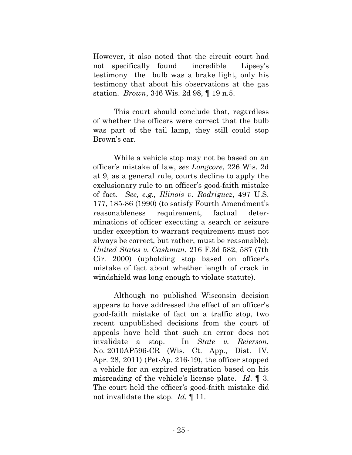However, it also noted that the circuit court had not specifically found incredible Lipsey's testimony the bulb was a brake light, only his testimony that about his observations at the gas station. *Brown*, 346 Wis. 2d 98, ¶ 19 n.5.

This court should conclude that, regardless of whether the officers were correct that the bulb was part of the tail lamp, they still could stop Brown's car.

While a vehicle stop may not be based on an officer's mistake of law, *see Longcore*, 226 Wis. 2d at 9, as a general rule, courts decline to apply the exclusionary rule to an officer's good-faith mistake of fact. *See, e.g., Illinois v. Rodriguez*, 497 U.S. 177, 185-86 (1990) (to satisfy Fourth Amendment's reasonableness requirement, factual determinations of officer executing a search or seizure under exception to warrant requirement must not always be correct, but rather, must be reasonable); *United States v. Cashman*, 216 F.3d 582, 587 (7th Cir. 2000) (upholding stop based on officer's mistake of fact about whether length of crack in windshield was long enough to violate statute).

Although no published Wisconsin decision appears to have addressed the effect of an officer's good-faith mistake of fact on a traffic stop, two recent unpublished decisions from the court of appeals have held that such an error does not invalidate a stop. In *State v. Reierson*, No. 2010AP596-CR (Wis. Ct. App., Dist. IV, Apr. 28, 2011) (Pet-Ap. 216-19), the officer stopped a vehicle for an expired registration based on his misreading of the vehicle's license plate. *Id*. ¶ 3. The court held the officer's good-faith mistake did not invalidate the stop. *Id.* ¶ 11.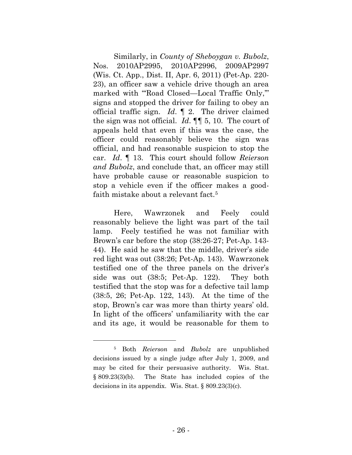Similarly, in *County of Sheboygan v. Bubolz*, Nos. 2010AP2995, 2010AP2996, 2009AP2997 (Wis. Ct. App., Dist. II, Apr. 6, 2011) (Pet-Ap. 220- 23), an officer saw a vehicle drive though an area marked with "Road Closed—Local Traffic Only," signs and stopped the driver for failing to obey an official traffic sign. *Id*. ¶ 2. The driver claimed the sign was not official. *Id*. ¶¶ 5, 10. The court of appeals held that even if this was the case, the officer could reasonably believe the sign was official, and had reasonable suspicion to stop the car. *Id*. ¶ 13. This court should follow *Reierson and Bubolz*, and conclude that, an officer may still have probable cause or reasonable suspicion to stop a vehicle even if the officer makes a goodfaith mistake about a relevant fact.<sup>5</sup>

Here, Wawrzonek and Feely could reasonably believe the light was part of the tail lamp. Feely testified he was not familiar with Brown's car before the stop (38:26-27; Pet-Ap. 143- 44). He said he saw that the middle, driver's side red light was out (38:26; Pet-Ap. 143). Wawrzonek testified one of the three panels on the driver's side was out (38:5; Pet-Ap. 122). They both testified that the stop was for a defective tail lamp (38:5, 26; Pet-Ap. 122, 143). At the time of the stop, Brown's car was more than thirty years' old. In light of the officers' unfamiliarity with the car and its age, it would be reasonable for them to

<sup>5</sup> Both *Reierson* and *Bubolz* are unpublished decisions issued by a single judge after July 1, 2009, and may be cited for their persuasive authority. Wis. Stat. § 809.23(3)(b). The State has included copies of the decisions in its appendix. Wis. Stat. § 809.23(3)(c).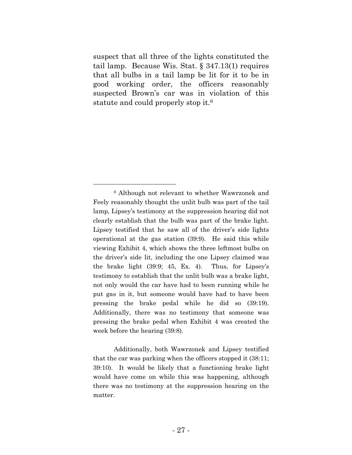suspect that all three of the lights constituted the tail lamp. Because Wis. Stat. § 347.13(1) requires that all bulbs in a tail lamp be lit for it to be in good working order, the officers reasonably suspected Brown's car was in violation of this statute and could properly stop it.<sup>6</sup>

Additionally, both Wawrzonek and Lipsey testified that the car was parking when the officers stopped it (38:11; 39:10). It would be likely that a functioning brake light would have come on while this was happening, although there was no testimony at the suppression hearing on the matter.

<sup>6</sup> Although not relevant to whether Wawrzonek and Feely reasonably thought the unlit bulb was part of the tail lamp, Lipsey's testimony at the suppression hearing did not clearly establish that the bulb was part of the brake light. Lipsey testified that he saw all of the driver's side lights operational at the gas station (39:9). He said this while viewing Exhibit 4, which shows the three leftmost bulbs on the driver's side lit, including the one Lipsey claimed was the brake light (39:9; 45, Ex. 4). Thus, for Lipsey's testimony to establish that the unlit bulb was a brake light, not only would the car have had to been running while he put gas in it, but someone would have had to have been pressing the brake pedal while he did so (39:19). Additionally, there was no testimony that someone was pressing the brake pedal when Exhibit 4 was created the week before the hearing (39:8).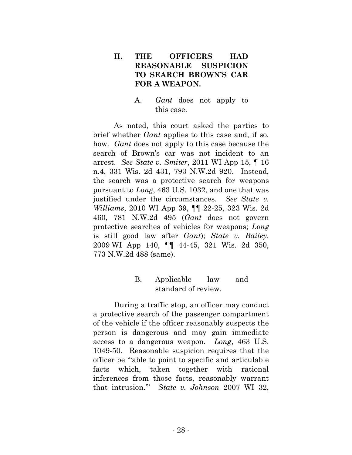# **II. THE OFFICERS HAD REASONABLE SUSPICION TO SEARCH BROWN'S CAR FOR A WEAPON.**

A. *Gant* does not apply to this case.

As noted, this court asked the parties to brief whether *Gant* applies to this case and, if so, how. *Gant* does not apply to this case because the search of Brown's car was not incident to an arrest. *See State v. Smiter*, 2011 WI App 15, ¶ 16 n.4, 331 Wis. 2d 431, 793 N.W.2d 920. Instead, the search was a protective search for weapons pursuant to *Long*, 463 U.S. 1032, and one that was justified under the circumstances. *See State v. Williams*, 2010 WI App 39, ¶¶ 22-25, 323 Wis. 2d 460, 781 N.W.2d 495 (*Gant* does not govern protective searches of vehicles for weapons; *Long* is still good law after *Gant*); *State v. Bailey*, 2009 WI App 140, ¶¶ 44-45, 321 Wis. 2d 350, 773 N.W.2d 488 (same).

# B. Applicable law and standard of review.

During a traffic stop, an officer may conduct a protective search of the passenger compartment of the vehicle if the officer reasonably suspects the person is dangerous and may gain immediate access to a dangerous weapon. *Long*, 463 U.S. 1049-50. Reasonable suspicion requires that the officer be "'able to point to specific and articulable facts which, taken together with rational inferences from those facts, reasonably warrant that intrusion.'" *State v. Johnson* 2007 WI 32,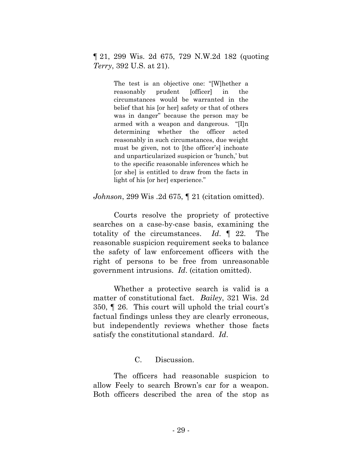¶ 21, 299 Wis. 2d 675, 729 N.W.2d 182 (quoting *Terry*, 392 U.S. at 21).

> The test is an objective one: "[W]hether a reasonably prudent [officer] in the circumstances would be warranted in the belief that his [or her] safety or that of others was in danger" because the person may be armed with a weapon and dangerous. "[I]n determining whether the officer acted reasonably in such circumstances, due weight must be given, not to [the officer's] inchoate and unparticularized suspicion or 'hunch,' but to the specific reasonable inferences which he [or she] is entitled to draw from the facts in light of his [or her] experience."

*Johnson*, 299 Wis .2d 675, ¶ 21 (citation omitted).

Courts resolve the propriety of protective searches on a case-by-case basis, examining the totality of the circumstances. *Id*. ¶ 22. The reasonable suspicion requirement seeks to balance the safety of law enforcement officers with the right of persons to be free from unreasonable government intrusions. *Id*. (citation omitted).

Whether a protective search is valid is a matter of constitutional fact. *Bailey*, 321 Wis. 2d 350, ¶ 26. This court will uphold the trial court's factual findings unless they are clearly erroneous, but independently reviews whether those facts satisfy the constitutional standard. *Id*.

# C. Discussion.

The officers had reasonable suspicion to allow Feely to search Brown's car for a weapon. Both officers described the area of the stop as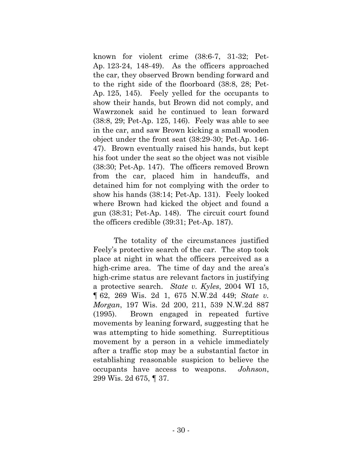known for violent crime (38:6-7, 31-32; Pet-Ap. 123-24, 148-49). As the officers approached the car, they observed Brown bending forward and to the right side of the floorboard (38:8, 28; Pet-Ap. 125, 145). Feely yelled for the occupants to show their hands, but Brown did not comply, and Wawrzonek said he continued to lean forward (38:8, 29; Pet-Ap. 125, 146). Feely was able to see in the car, and saw Brown kicking a small wooden object under the front seat (38:29-30; Pet-Ap. 146- 47). Brown eventually raised his hands, but kept his foot under the seat so the object was not visible (38:30; Pet-Ap. 147). The officers removed Brown from the car, placed him in handcuffs, and detained him for not complying with the order to show his hands (38:14; Pet-Ap. 131). Feely looked where Brown had kicked the object and found a gun (38:31; Pet-Ap. 148). The circuit court found the officers credible (39:31; Pet-Ap. 187).

The totality of the circumstances justified Feely's protective search of the car. The stop took place at night in what the officers perceived as a high-crime area. The time of day and the area's high-crime status are relevant factors in justifying a protective search. *State v. Kyles*, 2004 WI 15, ¶ 62, 269 Wis. 2d 1, 675 N.W.2d 449; *State v. Morgan*, 197 Wis. 2d 200, 211, 539 N.W.2d 887 (1995). Brown engaged in repeated furtive movements by leaning forward, suggesting that he was attempting to hide something. Surreptitious movement by a person in a vehicle immediately after a traffic stop may be a substantial factor in establishing reasonable suspicion to believe the occupants have access to weapons. *Johnson*, 299 Wis. 2d 675, ¶ 37.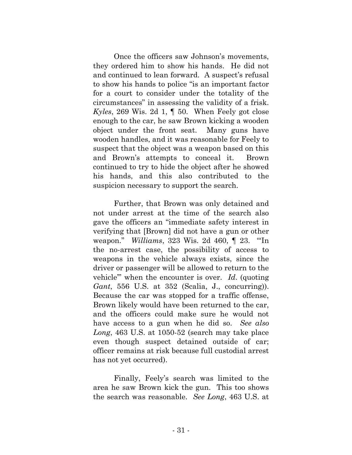Once the officers saw Johnson's movements, they ordered him to show his hands. He did not and continued to lean forward. A suspect's refusal to show his hands to police "is an important factor for a court to consider under the totality of the circumstances" in assessing the validity of a frisk. *Kyles*, 269 Wis. 2d 1, ¶ 50. When Feely got close enough to the car, he saw Brown kicking a wooden object under the front seat. Many guns have wooden handles, and it was reasonable for Feely to suspect that the object was a weapon based on this and Brown's attempts to conceal it. Brown continued to try to hide the object after he showed his hands, and this also contributed to the suspicion necessary to support the search.

Further, that Brown was only detained and not under arrest at the time of the search also gave the officers an "immediate safety interest in verifying that [Brown] did not have a gun or other weapon." *Williams*, 323 Wis. 2d 460, ¶ 23. "'In the no-arrest case, the possibility of access to weapons in the vehicle always exists, since the driver or passenger will be allowed to return to the vehicle'" when the encounter is over. *Id*. (quoting *Gant*, 556 U.S. at 352 (Scalia, J., concurring)). Because the car was stopped for a traffic offense, Brown likely would have been returned to the car, and the officers could make sure he would not have access to a gun when he did so. *See also Long*, 463 U.S. at 1050-52 (search may take place even though suspect detained outside of car; officer remains at risk because full custodial arrest has not yet occurred).

Finally, Feely's search was limited to the area he saw Brown kick the gun. This too shows the search was reasonable. *See Long*, 463 U.S. at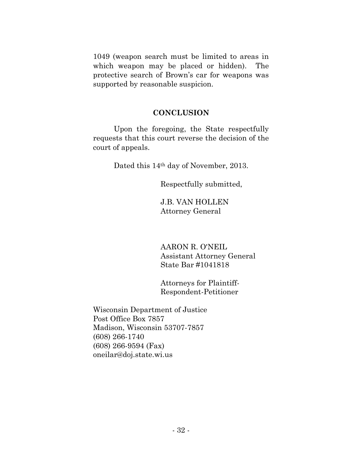1049 (weapon search must be limited to areas in which weapon may be placed or hidden). The protective search of Brown's car for weapons was supported by reasonable suspicion.

### **CONCLUSION**

Upon the foregoing, the State respectfully requests that this court reverse the decision of the court of appeals.

Dated this 14th day of November, 2013.

Respectfully submitted,

J.B. VAN HOLLEN Attorney General

AARON R. O'NEIL Assistant Attorney General State Bar #1041818

Attorneys for Plaintiff-Respondent-Petitioner

Wisconsin Department of Justice Post Office Box 7857 Madison, Wisconsin 53707-7857 (608) 266-1740 (608) 266-9594 (Fax) oneilar@doj.state.wi.us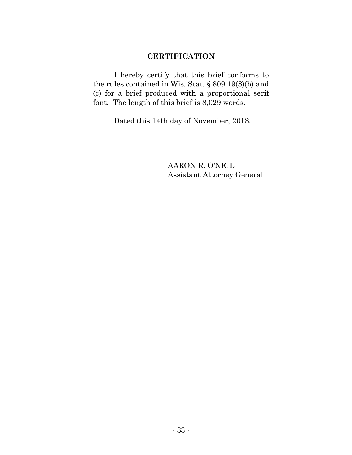## **CERTIFICATION**

I hereby certify that this brief conforms to the rules contained in Wis. Stat. § 809.19(8)(b) and (c) for a brief produced with a proportional serif font. The length of this brief is 8,029 words.

Dated this 14th day of November, 2013.

AARON R. O'NEIL Assistant Attorney General

\_\_\_\_\_\_\_\_\_\_\_\_\_\_\_\_\_\_\_\_\_\_\_\_\_\_\_